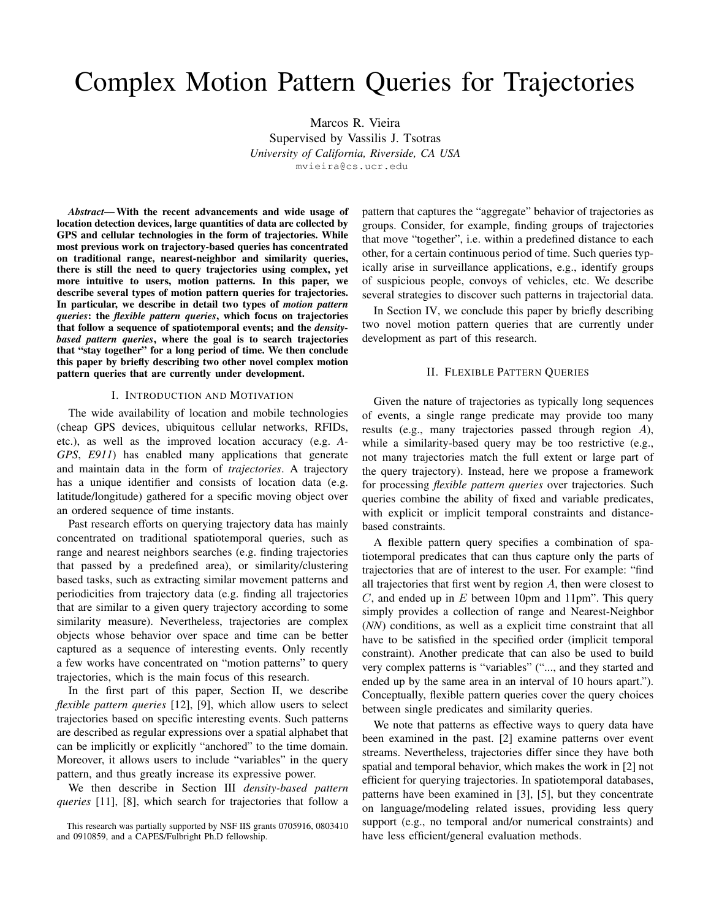# Complex Motion Pattern Queries for Trajectories

Marcos R. Vieira Supervised by Vassilis J. Tsotras *University of California, Riverside, CA USA* mvieira@cs.ucr.edu

*Abstract*— With the recent advancements and wide usage of location detection devices, large quantities of data are collected by GPS and cellular technologies in the form of trajectories. While most previous work on trajectory-based queries has concentrated on traditional range, nearest-neighbor and similarity queries, there is still the need to query trajectories using complex, yet more intuitive to users, motion patterns. In this paper, we describe several types of motion pattern queries for trajectories. In particular, we describe in detail two types of *motion pattern queries*: the *flexible pattern queries*, which focus on trajectories that follow a sequence of spatiotemporal events; and the *densitybased pattern queries*, where the goal is to search trajectories that "stay together" for a long period of time. We then conclude this paper by briefly describing two other novel complex motion pattern queries that are currently under development.

### I. INTRODUCTION AND MOTIVATION

The wide availability of location and mobile technologies (cheap GPS devices, ubiquitous cellular networks, RFIDs, etc.), as well as the improved location accuracy (e.g. *A-GPS*, *E911*) has enabled many applications that generate and maintain data in the form of *trajectories*. A trajectory has a unique identifier and consists of location data (e.g. latitude/longitude) gathered for a specific moving object over an ordered sequence of time instants.

Past research efforts on querying trajectory data has mainly concentrated on traditional spatiotemporal queries, such as range and nearest neighbors searches (e.g. finding trajectories that passed by a predefined area), or similarity/clustering based tasks, such as extracting similar movement patterns and periodicities from trajectory data (e.g. finding all trajectories that are similar to a given query trajectory according to some similarity measure). Nevertheless, trajectories are complex objects whose behavior over space and time can be better captured as a sequence of interesting events. Only recently a few works have concentrated on "motion patterns" to query trajectories, which is the main focus of this research.

In the first part of this paper, Section II, we describe *flexible pattern queries* [12], [9], which allow users to select trajectories based on specific interesting events. Such patterns are described as regular expressions over a spatial alphabet that can be implicitly or explicitly "anchored" to the time domain. Moreover, it allows users to include "variables" in the query pattern, and thus greatly increase its expressive power.

We then describe in Section III *density-based pattern queries* [11], [8], which search for trajectories that follow a pattern that captures the "aggregate" behavior of trajectories as groups. Consider, for example, finding groups of trajectories that move "together", i.e. within a predefined distance to each other, for a certain continuous period of time. Such queries typically arise in surveillance applications, e.g., identify groups of suspicious people, convoys of vehicles, etc. We describe several strategies to discover such patterns in trajectorial data.

In Section IV, we conclude this paper by briefly describing two novel motion pattern queries that are currently under development as part of this research.

#### II. FLEXIBLE PATTERN QUERIES

Given the nature of trajectories as typically long sequences of events, a single range predicate may provide too many results (e.g., many trajectories passed through region A), while a similarity-based query may be too restrictive (e.g., not many trajectories match the full extent or large part of the query trajectory). Instead, here we propose a framework for processing *flexible pattern queries* over trajectories. Such queries combine the ability of fixed and variable predicates, with explicit or implicit temporal constraints and distancebased constraints.

A flexible pattern query specifies a combination of spatiotemporal predicates that can thus capture only the parts of trajectories that are of interest to the user. For example: "find all trajectories that first went by region A, then were closest to  $C$ , and ended up in  $E$  between 10pm and 11pm". This query simply provides a collection of range and Nearest-Neighbor (*NN*) conditions, as well as a explicit time constraint that all have to be satisfied in the specified order (implicit temporal constraint). Another predicate that can also be used to build very complex patterns is "variables" ("..., and they started and ended up by the same area in an interval of 10 hours apart."). Conceptually, flexible pattern queries cover the query choices between single predicates and similarity queries.

We note that patterns as effective ways to query data have been examined in the past. [2] examine patterns over event streams. Nevertheless, trajectories differ since they have both spatial and temporal behavior, which makes the work in [2] not efficient for querying trajectories. In spatiotemporal databases, patterns have been examined in [3], [5], but they concentrate on language/modeling related issues, providing less query support (e.g., no temporal and/or numerical constraints) and have less efficient/general evaluation methods.

This research was partially supported by NSF IIS grants 0705916, 0803410 and 0910859, and a CAPES/Fulbright Ph.D fellowship.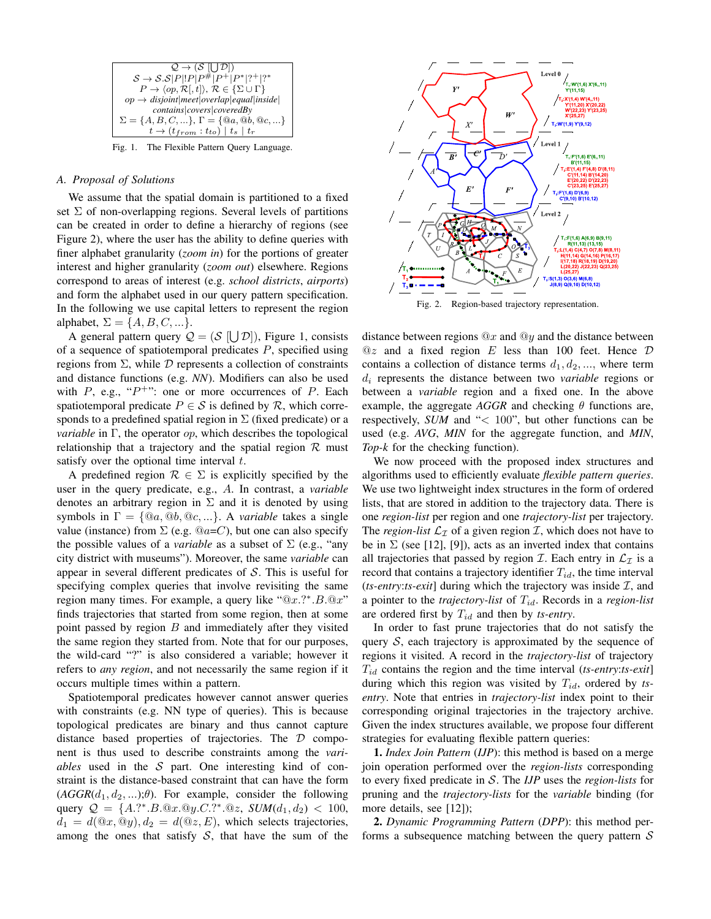

Fig. 1. The Flexible Pattern Query Language.

#### *A. Proposal of Solutions*

We assume that the spatial domain is partitioned to a fixed set  $\Sigma$  of non-overlapping regions. Several levels of partitions can be created in order to define a hierarchy of regions (see Figure 2), where the user has the ability to define queries with finer alphabet granularity (*zoom in*) for the portions of greater interest and higher granularity (*zoom out*) elsewhere. Regions correspond to areas of interest (e.g. *school districts*, *airports*) and form the alphabet used in our query pattern specification. In the following we use capital letters to represent the region alphabet,  $\Sigma = \{A, B, C, \ldots\}.$ 

A general pattern query  $\mathcal{Q} = (\mathcal{S} | \bigcup \mathcal{D}|)$ , Figure 1, consists of a sequence of spatiotemporal predicates  $P$ , specified using regions from  $\Sigma$ , while  $D$  represents a collection of constraints and distance functions (e.g. *NN*). Modifiers can also be used with  $P$ , e.g., " $P^{+}$ ": one or more occurrences of  $P$ . Each spatiotemporal predicate  $P \in S$  is defined by  $R$ , which corresponds to a predefined spatial region in  $\Sigma$  (fixed predicate) or a *variable* in Γ, the operator *op*, which describes the topological relationship that a trajectory and the spatial region  $\mathcal R$  must satisfy over the optional time interval  $t$ .

A predefined region  $\mathcal{R} \in \Sigma$  is explicitly specified by the user in the query predicate, e.g., A. In contrast, a *variable* denotes an arbitrary region in  $\Sigma$  and it is denoted by using symbols in  $\Gamma = \{ \omega_a, \omega_b, \omega_c, \ldots \}$ . A *variable* takes a single value (instance) from  $\Sigma$  (e.g.  $@a=C$ ), but one can also specify the possible values of a *variable* as a subset of  $\Sigma$  (e.g., "any city district with museums"). Moreover, the same *variable* can appear in several different predicates of S. This is useful for specifying complex queries that involve revisiting the same region many times. For example, a query like " $@x$ .?\*. $B$ . $@x$ " finds trajectories that started from some region, then at some point passed by region  $B$  and immediately after they visited the same region they started from. Note that for our purposes, the wild-card "?" is also considered a variable; however it refers to *any region*, and not necessarily the same region if it occurs multiple times within a pattern.

Spatiotemporal predicates however cannot answer queries with constraints (e.g. NN type of queries). This is because topological predicates are binary and thus cannot capture distance based properties of trajectories. The D component is thus used to describe constraints among the *variables* used in the  $S$  part. One interesting kind of constraint is the distance-based constraint that can have the form  $(AGGR(d_1, d_2, \ldots); \theta)$ . For example, consider the following query  $Q = \{A.^{*}.B.\t@x.\t@y.C.^{*}.\t@z, \tSUM(d_1, d_2) < 100,$  $d_1 = d(\mathbb{Q}x, \mathbb{Q}y), d_2 = d(\mathbb{Q}z, E)$ , which selects trajectories, among the ones that satisfy  $S$ , that have the sum of the



Fig. 2. Region-based trajectory representation.

distance between regions  $@x$  and  $@y$  and the distance between  $@z$  and a fixed region E less than 100 feet. Hence  $D$ contains a collection of distance terms  $d_1, d_2, \dots$ , where term d<sup>i</sup> represents the distance between two *variable* regions or between a *variable* region and a fixed one. In the above example, the aggregate  $AGGR$  and checking  $\theta$  functions are, respectively, *SUM* and "< 100", but other functions can be used (e.g. *AVG*, *MIN* for the aggregate function, and *MIN*, *Top-k* for the checking function).

We now proceed with the proposed index structures and algorithms used to efficiently evaluate *flexible pattern queries*. We use two lightweight index structures in the form of ordered lists, that are stored in addition to the trajectory data. There is one *region-list* per region and one *trajectory-list* per trajectory. The *region-list*  $\mathcal{L}_{\mathcal{I}}$  of a given region  $\mathcal{I}$ , which does not have to be in  $\Sigma$  (see [12], [9]), acts as an inverted index that contains all trajectories that passed by region  $\mathcal I$ . Each entry in  $\mathcal L_{\mathcal I}$  is a record that contains a trajectory identifier  $T_{id}$ , the time interval ( $ts-entry:ts-exit$ ] during which the trajectory was inside  $I$ , and a pointer to the *trajectory-list* of Tid. Records in a *region-list* are ordered first by  $T_{id}$  and then by *ts-entry*.

In order to fast prune trajectories that do not satisfy the query  $S$ , each trajectory is approximated by the sequence of regions it visited. A record in the *trajectory-list* of trajectory Tid contains the region and the time interval (*ts-entry*:*ts-exit*] during which this region was visited by  $T_{id}$ , ordered by *tsentry*. Note that entries in *trajectory-list* index point to their corresponding original trajectories in the trajectory archive. Given the index structures available, we propose four different strategies for evaluating flexible pattern queries:

1. *Index Join Pattern* (*IJP*): this method is based on a merge join operation performed over the *region-lists* corresponding to every fixed predicate in S. The *IJP* uses the *region-lists* for pruning and the *trajectory-lists* for the *variable* binding (for more details, see [12]);

2. *Dynamic Programming Pattern* (*DPP*): this method performs a subsequence matching between the query pattern  $S$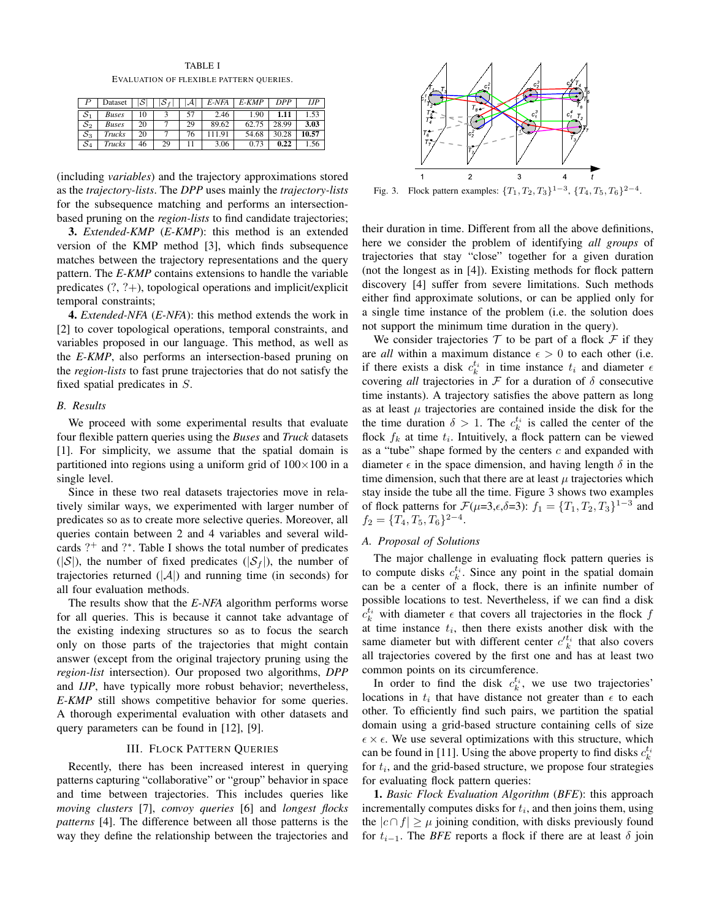TABLE I

EVALUATION OF FLEXIBLE PATTERN QUERIES.

|                            | Dataset       |    |    | $\mathcal{A}^{\perp}$ | E-NFA | $E-KMP$ | DPP       | IJР   |
|----------------------------|---------------|----|----|-----------------------|-------|---------|-----------|-------|
| $^{\circ}$ $\mathcal{S}_1$ | <b>Buses</b>  | 10 |    | 57                    | 2.46  | 1.90    | 1.11      | 1.53  |
| $S_2$                      | <b>Buses</b>  | 20 |    | 29                    | 89.62 | 62.75   | $28.99$ . | 3.03  |
| $S_3$                      | <b>Trucks</b> | 20 |    | 76                    | 11.91 | 54.68   | 30.28     | 10.57 |
| $S_4$                      | Trucks        | 46 | 29 |                       | 3.06  | 0.73    | 0.22      | 1.56  |

(including *variables*) and the trajectory approximations stored as the *trajectory-lists*. The *DPP* uses mainly the *trajectory-lists* for the subsequence matching and performs an intersectionbased pruning on the *region-lists* to find candidate trajectories;

3. *Extended-KMP* (*E-KMP*): this method is an extended version of the KMP method [3], which finds subsequence matches between the trajectory representations and the query pattern. The *E-KMP* contains extensions to handle the variable predicates (?, ?+), topological operations and implicit/explicit temporal constraints;

4. *Extended-NFA* (*E-NFA*): this method extends the work in [2] to cover topological operations, temporal constraints, and variables proposed in our language. This method, as well as the *E-KMP*, also performs an intersection-based pruning on the *region-lists* to fast prune trajectories that do not satisfy the fixed spatial predicates in S.

## *B. Results*

We proceed with some experimental results that evaluate four flexible pattern queries using the *Buses* and *Truck* datasets [1]. For simplicity, we assume that the spatial domain is partitioned into regions using a uniform grid of  $100\times100$  in a single level.

Since in these two real datasets trajectories move in relatively similar ways, we experimented with larger number of predicates so as to create more selective queries. Moreover, all queries contain between 2 and 4 variables and several wildcards ?<sup>+</sup> and ?\*. Table I shows the total number of predicates  $(|\mathcal{S}|)$ , the number of fixed predicates  $(|\mathcal{S}_f|)$ , the number of trajectories returned  $(|A|)$  and running time (in seconds) for all four evaluation methods.

The results show that the *E-NFA* algorithm performs worse for all queries. This is because it cannot take advantage of the existing indexing structures so as to focus the search only on those parts of the trajectories that might contain answer (except from the original trajectory pruning using the *region-list* intersection). Our proposed two algorithms, *DPP* and *IJP*, have typically more robust behavior; nevertheless, *E-KMP* still shows competitive behavior for some queries. A thorough experimental evaluation with other datasets and query parameters can be found in [12], [9].

## III. FLOCK PATTERN QUERIES

Recently, there has been increased interest in querying patterns capturing "collaborative" or "group" behavior in space and time between trajectories. This includes queries like *moving clusters* [7], *convoy queries* [6] and *longest flocks patterns* [4]. The difference between all those patterns is the way they define the relationship between the trajectories and



Fig. 3. Flock pattern examples:  $\{T_1, T_2, T_3\}^{1-3}$ ,  $\{T_4, T_5, T_6\}^{2-4}$ .

their duration in time. Different from all the above definitions, here we consider the problem of identifying *all groups* of trajectories that stay "close" together for a given duration (not the longest as in [4]). Existing methods for flock pattern discovery [4] suffer from severe limitations. Such methods either find approximate solutions, or can be applied only for a single time instance of the problem (i.e. the solution does not support the minimum time duration in the query).

We consider trajectories  $T$  to be part of a flock  $\mathcal F$  if they are *all* within a maximum distance  $\epsilon > 0$  to each other (i.e. if there exists a disk  $c_k^{t_i}$  in time instance  $t_i$  and diameter  $\epsilon$ covering *all* trajectories in  $\mathcal F$  for a duration of  $\delta$  consecutive time instants). A trajectory satisfies the above pattern as long as at least  $\mu$  trajectories are contained inside the disk for the the time duration  $\delta > 1$ . The  $c_k^{t_i}$  is called the center of the flock  $f_k$  at time  $t_i$ . Intuitively, a flock pattern can be viewed as a "tube" shape formed by the centers  $c$  and expanded with diameter  $\epsilon$  in the space dimension, and having length  $\delta$  in the time dimension, such that there are at least  $\mu$  trajectories which stay inside the tube all the time. Figure 3 shows two examples of flock patterns for  $\mathcal{F}(\mu=3,\epsilon,\delta=3)$ :  $f_1 = \{T_1, T_2, T_3\}^{1-3}$  and  $f_2 = \{T_4, T_5, T_6\}^{2-4}.$ 

## *A. Proposal of Solutions*

The major challenge in evaluating flock pattern queries is to compute disks  $c_k^{t_i}$ . Since any point in the spatial domain can be a center of a flock, there is an infinite number of possible locations to test. Nevertheless, if we can find a disk  $c_k^{t_i}$  with diameter  $\epsilon$  that covers all trajectories in the flock f at time instance  $t_i$ , then there exists another disk with the same diameter but with different center  $c_{k}^{t_i}$  that also covers all trajectories covered by the first one and has at least two common points on its circumference.

In order to find the disk  $c_k^{t_i}$ , we use two trajectories' locations in  $t_i$  that have distance not greater than  $\epsilon$  to each other. To efficiently find such pairs, we partition the spatial domain using a grid-based structure containing cells of size  $\epsilon \times \epsilon$ . We use several optimizations with this structure, which can be found in [11]. Using the above property to find disks  $c_k^{t_i}$ for  $t_i$ , and the grid-based structure, we propose four strategies for evaluating flock pattern queries:

1. *Basic Flock Evaluation Algorithm* (*BFE*): this approach incrementally computes disks for  $t_i$ , and then joins them, using the  $|c \cap f| \ge \mu$  joining condition, with disks previously found for  $t_{i-1}$ . The *BFE* reports a flock if there are at least  $\delta$  join